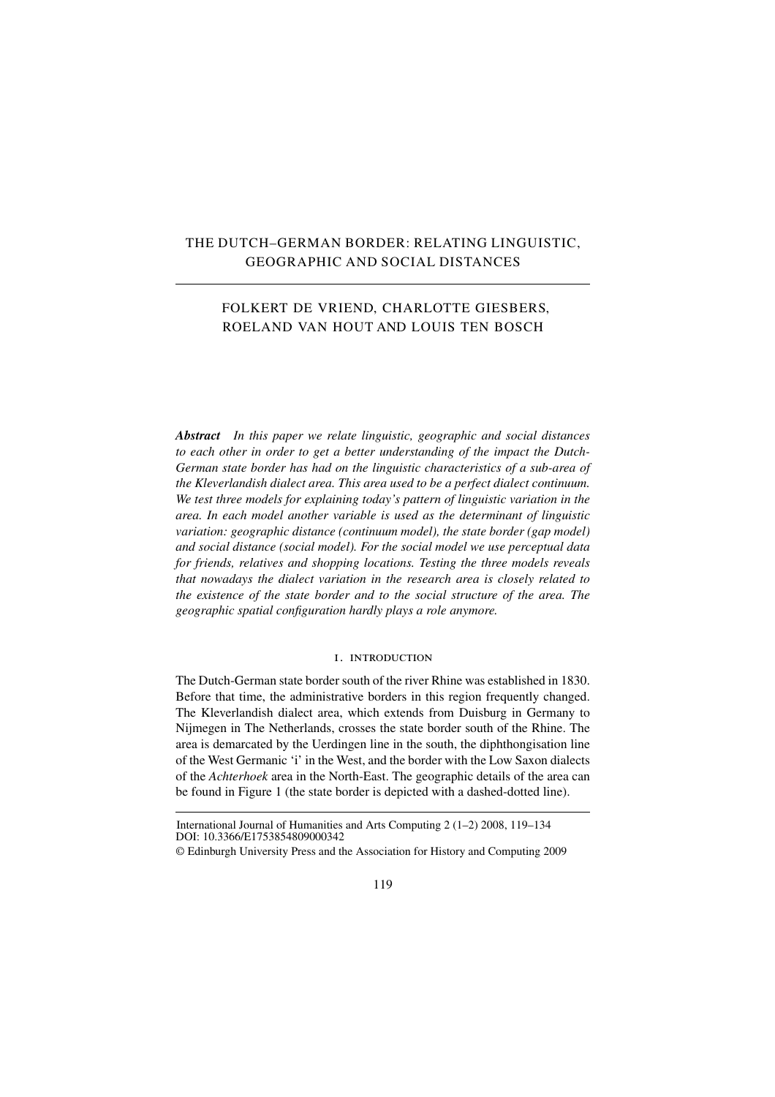## THE DUTCH–GERMAN BORDER: RELATING LINGUISTIC, GEOGRAPHIC AND SOCIAL DISTANCES

# FOLKERT DE VRIEND, CHARLOTTE GIESBERS, ROELAND VAN HOUT AND LOUIS TEN BOSCH

*Abstract In this paper we relate linguistic, geographic and social distances to each other in order to get a better understanding of the impact the Dutch-German state border has had on the linguistic characteristics of a sub-area of the Kleverlandish dialect area. This area used to be a perfect dialect continuum. We test three models for explaining today's pattern of linguistic variation in the area. In each model another variable is used as the determinant of linguistic variation: geographic distance (continuum model), the state border (gap model) and social distance (social model). For the social model we use perceptual data for friends, relatives and shopping locations. Testing the three models reveals that nowadays the dialect variation in the research area is closely related to the existence of the state border and to the social structure of the area. The geographic spatial configuration hardly plays a role anymore.*

#### 1. introduction

The Dutch-German state border south of the river Rhine was established in 1830. Before that time, the administrative borders in this region frequently changed. The Kleverlandish dialect area, which extends from Duisburg in Germany to Nijmegen in The Netherlands, crosses the state border south of the Rhine. The area is demarcated by the Uerdingen line in the south, the diphthongisation line of the West Germanic 'i' in the West, and the border with the Low Saxon dialects of the *Achterhoek* area in the North-East. The geographic details of the area can be found in Figure 1 (the state border is depicted with a dashed-dotted line).

International Journal of Humanities and Arts Computing 2 (1–2) 2008, 119–134 DOI: 10.3366/E1753854809000342

<sup>©</sup> Edinburgh University Press and the Association for History and Computing 2009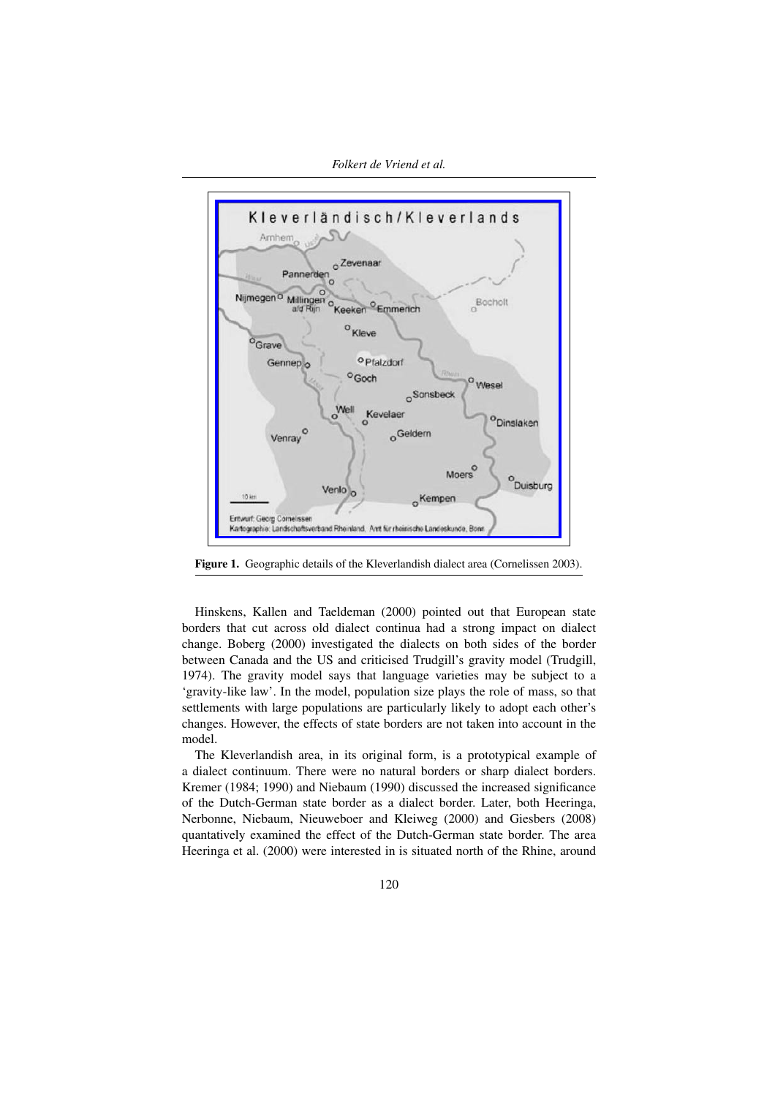

*Folkert de Vriend et al.*

**Figure 1.** Geographic details of the Kleverlandish dialect area (Cornelissen 2003).

Hinskens, Kallen and Taeldeman (2000) pointed out that European state borders that cut across old dialect continua had a strong impact on dialect change. Boberg (2000) investigated the dialects on both sides of the border between Canada and the US and criticised Trudgill's gravity model (Trudgill, 1974). The gravity model says that language varieties may be subject to a 'gravity-like law'. In the model, population size plays the role of mass, so that settlements with large populations are particularly likely to adopt each other's changes. However, the effects of state borders are not taken into account in the model.

The Kleverlandish area, in its original form, is a prototypical example of a dialect continuum. There were no natural borders or sharp dialect borders. Kremer (1984; 1990) and Niebaum (1990) discussed the increased significance of the Dutch-German state border as a dialect border. Later, both Heeringa, Nerbonne, Niebaum, Nieuweboer and Kleiweg (2000) and Giesbers (2008) quantatively examined the effect of the Dutch-German state border. The area Heeringa et al. (2000) were interested in is situated north of the Rhine, around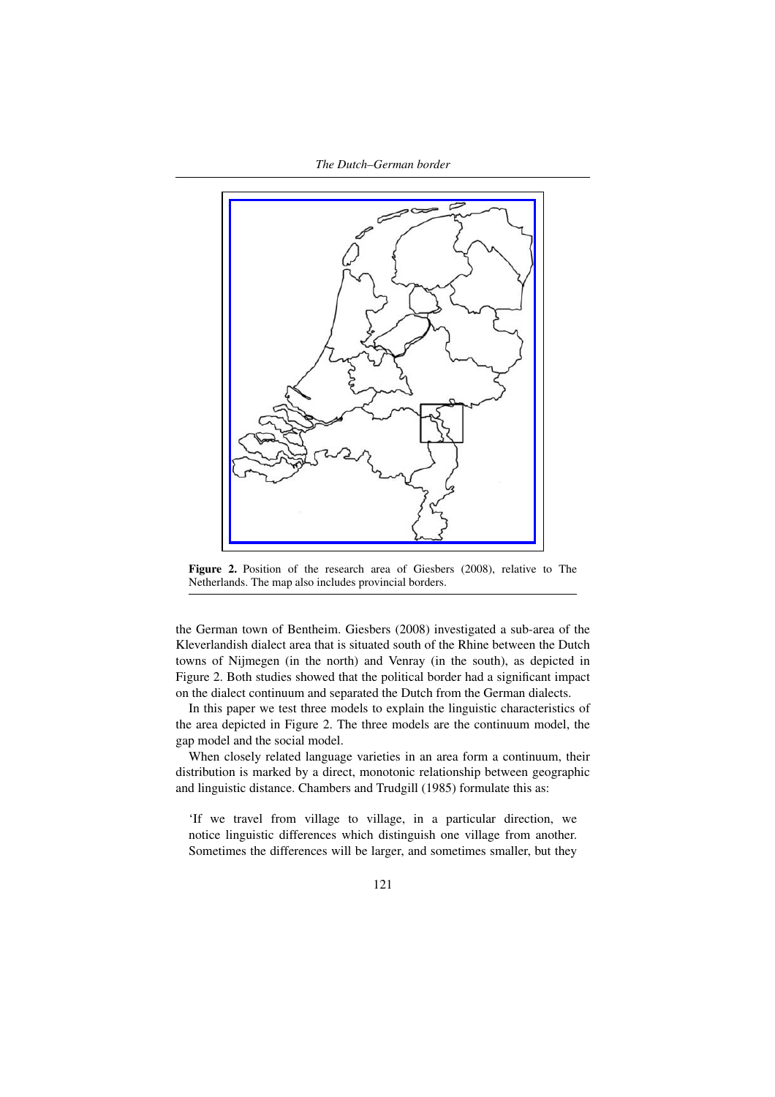



the German town of Bentheim. Giesbers (2008) investigated a sub-area of the Kleverlandish dialect area that is situated south of the Rhine between the Dutch towns of Nijmegen (in the north) and Venray (in the south), as depicted in Figure 2. Both studies showed that the political border had a significant impact on the dialect continuum and separated the Dutch from the German dialects.

In this paper we test three models to explain the linguistic characteristics of the area depicted in Figure 2. The three models are the continuum model, the gap model and the social model.

When closely related language varieties in an area form a continuum, their distribution is marked by a direct, monotonic relationship between geographic and linguistic distance. Chambers and Trudgill (1985) formulate this as:

'If we travel from village to village, in a particular direction, we notice linguistic differences which distinguish one village from another. Sometimes the differences will be larger, and sometimes smaller, but they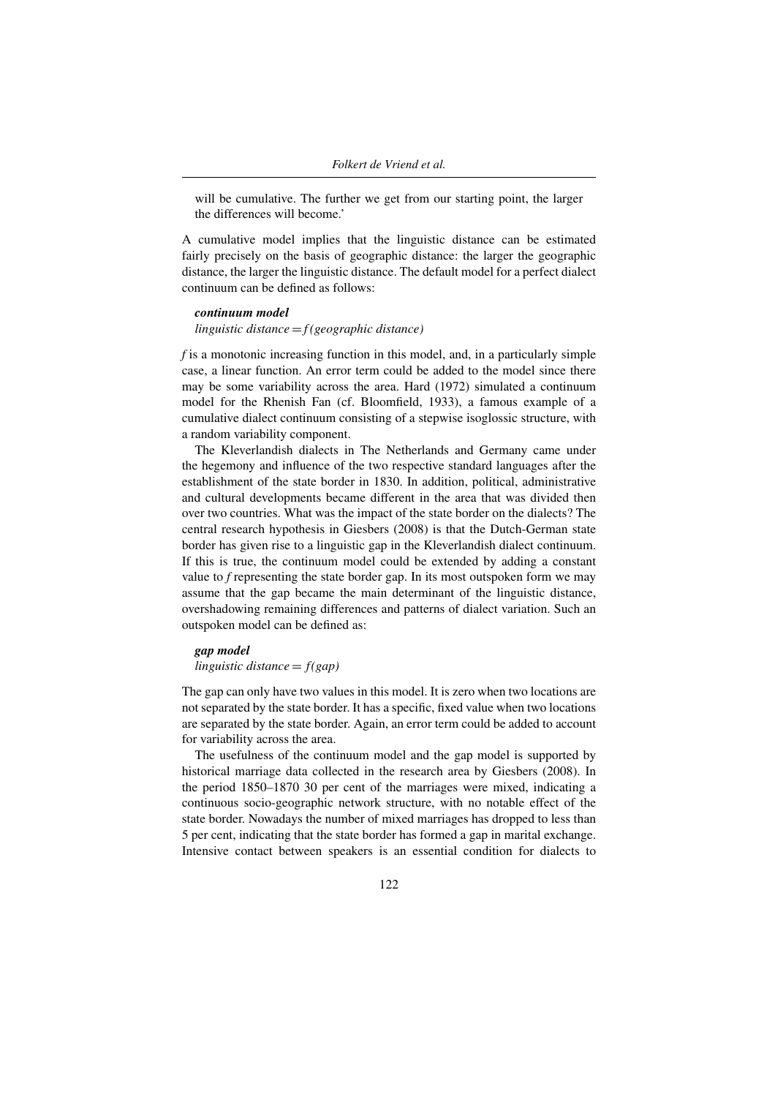will be cumulative. The further we get from our starting point, the larger the differences will become.'

A cumulative model implies that the linguistic distance can be estimated fairly precisely on the basis of geographic distance: the larger the geographic distance, the larger the linguistic distance. The default model for a perfect dialect continuum can be defined as follows:

#### *continuum model*

*linguistic distance* = *f (geographic distance)*

*f* is a monotonic increasing function in this model, and, in a particularly simple case, a linear function. An error term could be added to the model since there may be some variability across the area. Hard (1972) simulated a continuum model for the Rhenish Fan (cf. Bloomfield, 1933), a famous example of a cumulative dialect continuum consisting of a stepwise isoglossic structure, with a random variability component.

The Kleverlandish dialects in The Netherlands and Germany came under the hegemony and influence of the two respective standard languages after the establishment of the state border in 1830. In addition, political, administrative and cultural developments became different in the area that was divided then over two countries. What was the impact of the state border on the dialects? The central research hypothesis in Giesbers (2008) is that the Dutch-German state border has given rise to a linguistic gap in the Kleverlandish dialect continuum. If this is true, the continuum model could be extended by adding a constant value to *f* representing the state border gap. In its most outspoken form we may assume that the gap became the main determinant of the linguistic distance, overshadowing remaining differences and patterns of dialect variation. Such an outspoken model can be defined as:

## *gap model*

## *linguistic distance* =  $f(gap)$

The gap can only have two values in this model. It is zero when two locations are not separated by the state border. It has a specific, fixed value when two locations are separated by the state border. Again, an error term could be added to account for variability across the area.

The usefulness of the continuum model and the gap model is supported by historical marriage data collected in the research area by Giesbers (2008). In the period 1850–1870 30 per cent of the marriages were mixed, indicating a continuous socio-geographic network structure, with no notable effect of the state border. Nowadays the number of mixed marriages has dropped to less than 5 per cent, indicating that the state border has formed a gap in marital exchange. Intensive contact between speakers is an essential condition for dialects to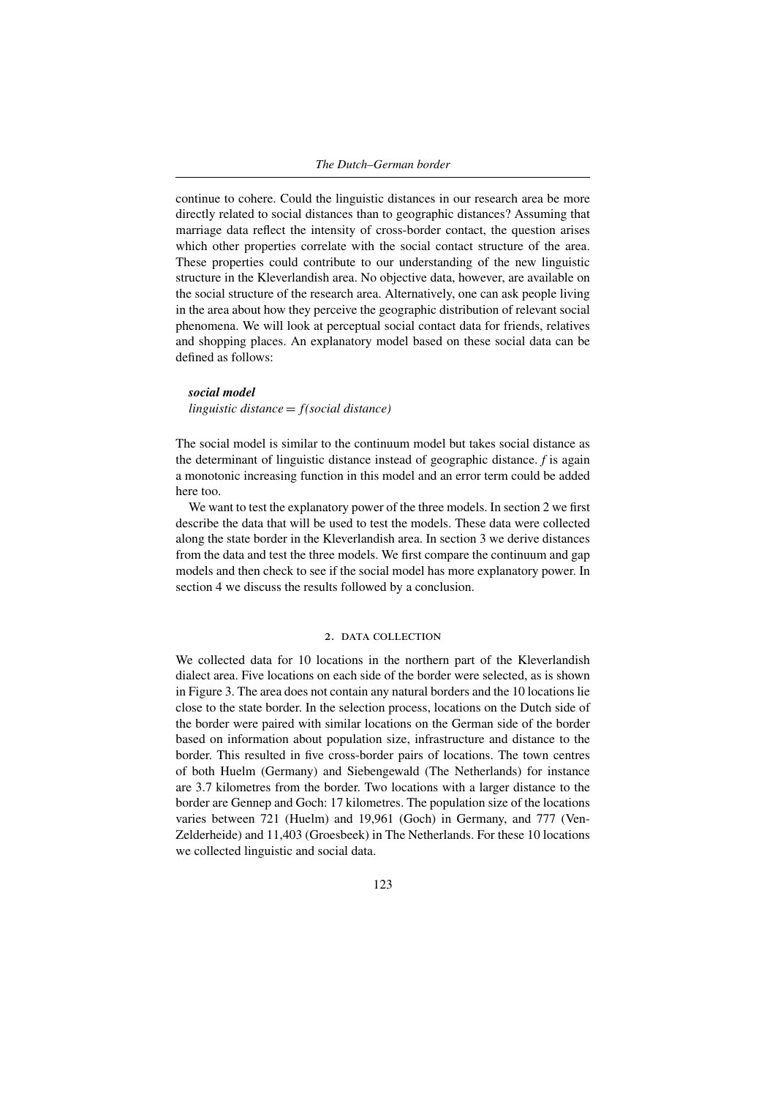continue to cohere. Could the linguistic distances in our research area be more directly related to social distances than to geographic distances? Assuming that marriage data reflect the intensity of cross-border contact, the question arises which other properties correlate with the social contact structure of the area. These properties could contribute to our understanding of the new linguistic structure in the Kleverlandish area. No objective data, however, are available on the social structure of the research area. Alternatively, one can ask people living in the area about how they perceive the geographic distribution of relevant social phenomena. We will look at perceptual social contact data for friends, relatives and shopping places. An explanatory model based on these social data can be defined as follows:

## *social model*

*linguistic distance* = *f (social distance)*

The social model is similar to the continuum model but takes social distance as the determinant of linguistic distance instead of geographic distance. *f* is again a monotonic increasing function in this model and an error term could be added here too.

We want to test the explanatory power of the three models. In section 2 we first describe the data that will be used to test the models. These data were collected along the state border in the Kleverlandish area. In section 3 we derive distances from the data and test the three models. We first compare the continuum and gap models and then check to see if the social model has more explanatory power. In section 4 we discuss the results followed by a conclusion.

#### 2. DATA COLLECTION

We collected data for 10 locations in the northern part of the Kleverlandish dialect area. Five locations on each side of the border were selected, as is shown in Figure 3. The area does not contain any natural borders and the 10 locations lie close to the state border. In the selection process, locations on the Dutch side of the border were paired with similar locations on the German side of the border based on information about population size, infrastructure and distance to the border. This resulted in five cross-border pairs of locations. The town centres of both Huelm (Germany) and Siebengewald (The Netherlands) for instance are 3.7 kilometres from the border. Two locations with a larger distance to the border are Gennep and Goch: 17 kilometres. The population size of the locations varies between 721 (Huelm) and 19,961 (Goch) in Germany, and 777 (Ven-Zelderheide) and 11,403 (Groesbeek) in The Netherlands. For these 10 locations we collected linguistic and social data.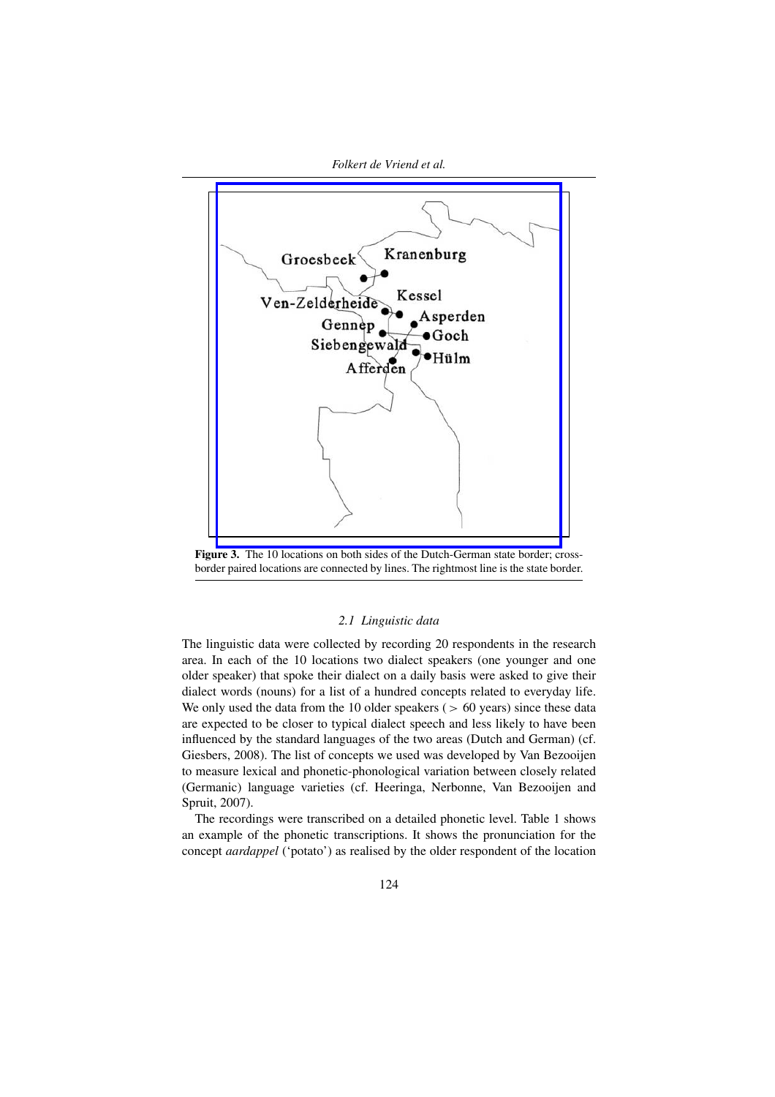



### *2.1 Linguistic data*

The linguistic data were collected by recording 20 respondents in the research area. In each of the 10 locations two dialect speakers (one younger and one older speaker) that spoke their dialect on a daily basis were asked to give their dialect words (nouns) for a list of a hundred concepts related to everyday life. We only used the data from the 10 older speakers ( $> 60$  years) since these data are expected to be closer to typical dialect speech and less likely to have been influenced by the standard languages of the two areas (Dutch and German) (cf. Giesbers, 2008). The list of concepts we used was developed by Van Bezooijen to measure lexical and phonetic-phonological variation between closely related (Germanic) language varieties (cf. Heeringa, Nerbonne, Van Bezooijen and Spruit, 2007).

The recordings were transcribed on a detailed phonetic level. Table 1 shows an example of the phonetic transcriptions. It shows the pronunciation for the concept *aardappel* ('potato') as realised by the older respondent of the location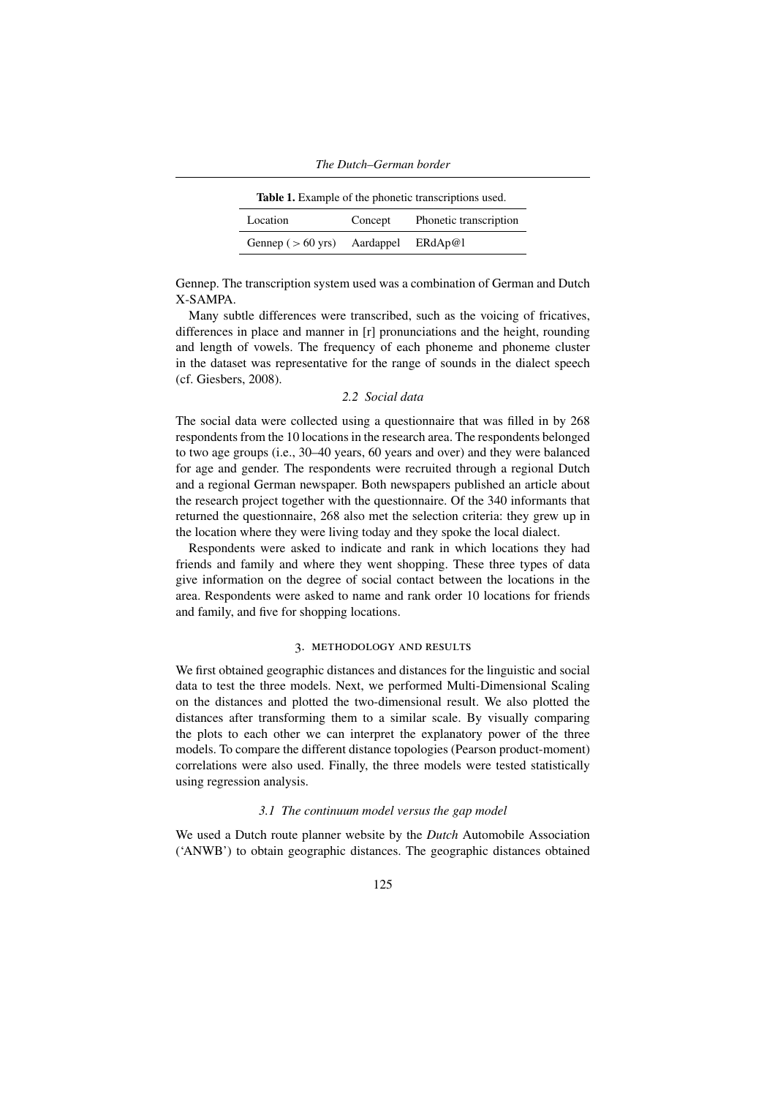*The Dutch–German border*

| <b>Table 1.</b> Example of the phonetic transcriptions used. |                      |                        |  |  |
|--------------------------------------------------------------|----------------------|------------------------|--|--|
| Location                                                     | Concept              | Phonetic transcription |  |  |
| Gennep ( $> 60$ yrs)                                         | Aardappel<br>ERdAp@l |                        |  |  |

Gennep. The transcription system used was a combination of German and Dutch X-SAMPA.

Many subtle differences were transcribed, such as the voicing of fricatives, differences in place and manner in [r] pronunciations and the height, rounding and length of vowels. The frequency of each phoneme and phoneme cluster in the dataset was representative for the range of sounds in the dialect speech (cf. Giesbers, 2008).

#### *2.2 Social data*

The social data were collected using a questionnaire that was filled in by 268 respondents from the 10 locations in the research area. The respondents belonged to two age groups (i.e., 30–40 years, 60 years and over) and they were balanced for age and gender. The respondents were recruited through a regional Dutch and a regional German newspaper. Both newspapers published an article about the research project together with the questionnaire. Of the 340 informants that returned the questionnaire, 268 also met the selection criteria: they grew up in the location where they were living today and they spoke the local dialect.

Respondents were asked to indicate and rank in which locations they had friends and family and where they went shopping. These three types of data give information on the degree of social contact between the locations in the area. Respondents were asked to name and rank order 10 locations for friends and family, and five for shopping locations.

### 3. methodology and results

We first obtained geographic distances and distances for the linguistic and social data to test the three models. Next, we performed Multi-Dimensional Scaling on the distances and plotted the two-dimensional result. We also plotted the distances after transforming them to a similar scale. By visually comparing the plots to each other we can interpret the explanatory power of the three models. To compare the different distance topologies (Pearson product-moment) correlations were also used. Finally, the three models were tested statistically using regression analysis.

#### *3.1 The continuum model versus the gap model*

We used a Dutch route planner website by the *Dutch* Automobile Association ('ANWB') to obtain geographic distances. The geographic distances obtained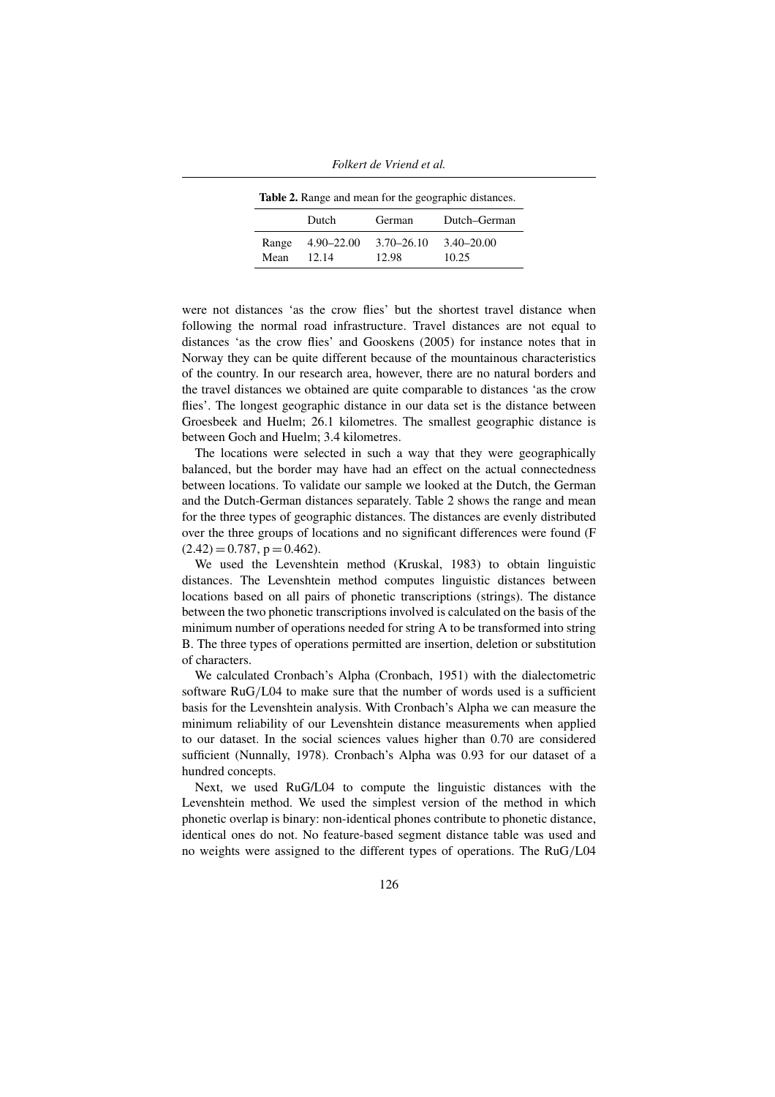*Folkert de Vriend et al.*

| <b>Table 2.</b> Range and mean for the geographic distances. |                     |                         |                         |  |  |  |
|--------------------------------------------------------------|---------------------|-------------------------|-------------------------|--|--|--|
|                                                              | Dutch               | German                  | Dutch–German            |  |  |  |
| Range<br>Mean                                                | 4.90–22.00<br>12.14 | $3.70 - 26.10$<br>12.98 | $3.40 - 20.00$<br>10.25 |  |  |  |

were not distances 'as the crow flies' but the shortest travel distance when following the normal road infrastructure. Travel distances are not equal to distances 'as the crow flies' and Gooskens (2005) for instance notes that in Norway they can be quite different because of the mountainous characteristics of the country. In our research area, however, there are no natural borders and the travel distances we obtained are quite comparable to distances 'as the crow flies'. The longest geographic distance in our data set is the distance between Groesbeek and Huelm; 26.1 kilometres. The smallest geographic distance is between Goch and Huelm; 3.4 kilometres.

The locations were selected in such a way that they were geographically balanced, but the border may have had an effect on the actual connectedness between locations. To validate our sample we looked at the Dutch, the German and the Dutch-German distances separately. Table 2 shows the range and mean for the three types of geographic distances. The distances are evenly distributed over the three groups of locations and no significant differences were found (F  $(2.42) = 0.787$ ,  $p = 0.462$ ).

We used the Levenshtein method (Kruskal, 1983) to obtain linguistic distances. The Levenshtein method computes linguistic distances between locations based on all pairs of phonetic transcriptions (strings). The distance between the two phonetic transcriptions involved is calculated on the basis of the minimum number of operations needed for string A to be transformed into string B. The three types of operations permitted are insertion, deletion or substitution of characters.

We calculated Cronbach's Alpha (Cronbach, 1951) with the dialectometric software RuG/L04 to make sure that the number of words used is a sufficient basis for the Levenshtein analysis. With Cronbach's Alpha we can measure the minimum reliability of our Levenshtein distance measurements when applied to our dataset. In the social sciences values higher than 0.70 are considered sufficient (Nunnally, 1978). Cronbach's Alpha was 0.93 for our dataset of a hundred concepts.

Next, we used RuG/L04 to compute the linguistic distances with the Levenshtein method. We used the simplest version of the method in which phonetic overlap is binary: non-identical phones contribute to phonetic distance, identical ones do not. No feature-based segment distance table was used and no weights were assigned to the different types of operations. The RuG/L04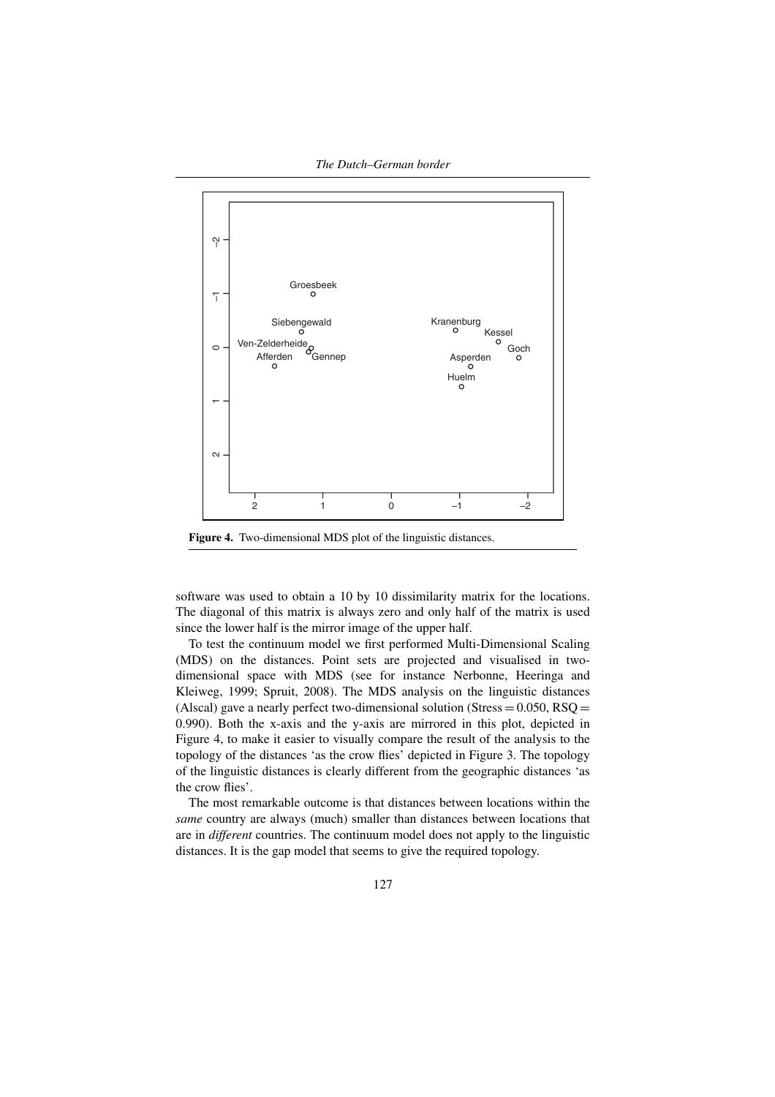

**Figure 4.** Two-dimensional MDS plot of the linguistic distances.

software was used to obtain a 10 by 10 dissimilarity matrix for the locations. The diagonal of this matrix is always zero and only half of the matrix is used since the lower half is the mirror image of the upper half.

To test the continuum model we first performed Multi-Dimensional Scaling (MDS) on the distances. Point sets are projected and visualised in twodimensional space with MDS (see for instance Nerbonne, Heeringa and Kleiweg, 1999; Spruit, 2008). The MDS analysis on the linguistic distances (Alscal) gave a nearly perfect two-dimensional solution (Stress  $= 0.050$ , RSQ  $=$ 0.990). Both the x-axis and the y-axis are mirrored in this plot, depicted in Figure 4, to make it easier to visually compare the result of the analysis to the topology of the distances 'as the crow flies' depicted in Figure 3. The topology of the linguistic distances is clearly different from the geographic distances 'as the crow flies'.

The most remarkable outcome is that distances between locations within the *same* country are always (much) smaller than distances between locations that are in *different* countries. The continuum model does not apply to the linguistic distances. It is the gap model that seems to give the required topology.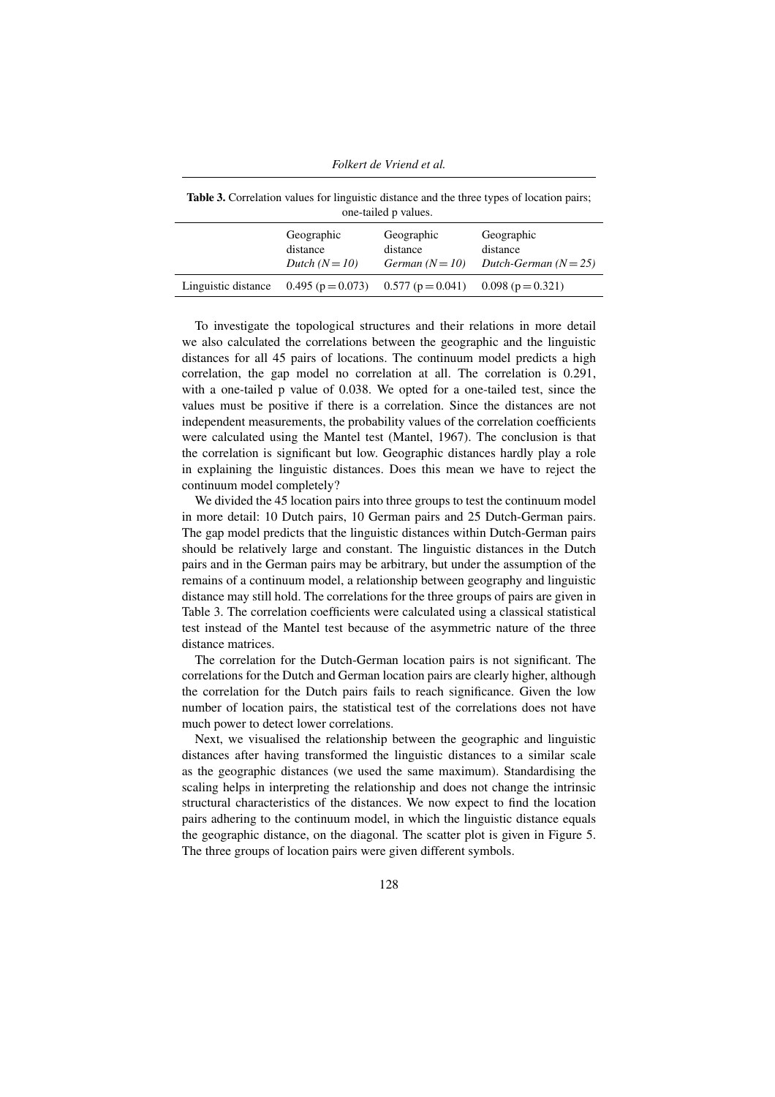*Folkert de Vriend et al.*

| one-tailed p values. |                                          |                                             |                                                   |  |  |  |
|----------------------|------------------------------------------|---------------------------------------------|---------------------------------------------------|--|--|--|
|                      | Geographic<br>distance<br>Dutch $(N=10)$ | Geographic<br>distance<br>German $(N = 10)$ | Geographic<br>distance<br>Dutch-German $(N = 25)$ |  |  |  |
| Linguistic distance  |                                          | $0.495 (p = 0.073)$ $0.577 (p = 0.041)$     | 0.098 ( $p = 0.321$ )                             |  |  |  |

**Table 3.** Correlation values for linguistic distance and the three types of location pairs; one-tailed p values.

To investigate the topological structures and their relations in more detail we also calculated the correlations between the geographic and the linguistic distances for all 45 pairs of locations. The continuum model predicts a high correlation, the gap model no correlation at all. The correlation is 0.291, with a one-tailed p value of 0.038. We opted for a one-tailed test, since the values must be positive if there is a correlation. Since the distances are not independent measurements, the probability values of the correlation coefficients were calculated using the Mantel test (Mantel, 1967). The conclusion is that the correlation is significant but low. Geographic distances hardly play a role in explaining the linguistic distances. Does this mean we have to reject the continuum model completely?

We divided the 45 location pairs into three groups to test the continuum model in more detail: 10 Dutch pairs, 10 German pairs and 25 Dutch-German pairs. The gap model predicts that the linguistic distances within Dutch-German pairs should be relatively large and constant. The linguistic distances in the Dutch pairs and in the German pairs may be arbitrary, but under the assumption of the remains of a continuum model, a relationship between geography and linguistic distance may still hold. The correlations for the three groups of pairs are given in Table 3. The correlation coefficients were calculated using a classical statistical test instead of the Mantel test because of the asymmetric nature of the three distance matrices.

The correlation for the Dutch-German location pairs is not significant. The correlations for the Dutch and German location pairs are clearly higher, although the correlation for the Dutch pairs fails to reach significance. Given the low number of location pairs, the statistical test of the correlations does not have much power to detect lower correlations.

Next, we visualised the relationship between the geographic and linguistic distances after having transformed the linguistic distances to a similar scale as the geographic distances (we used the same maximum). Standardising the scaling helps in interpreting the relationship and does not change the intrinsic structural characteristics of the distances. We now expect to find the location pairs adhering to the continuum model, in which the linguistic distance equals the geographic distance, on the diagonal. The scatter plot is given in Figure 5. The three groups of location pairs were given different symbols.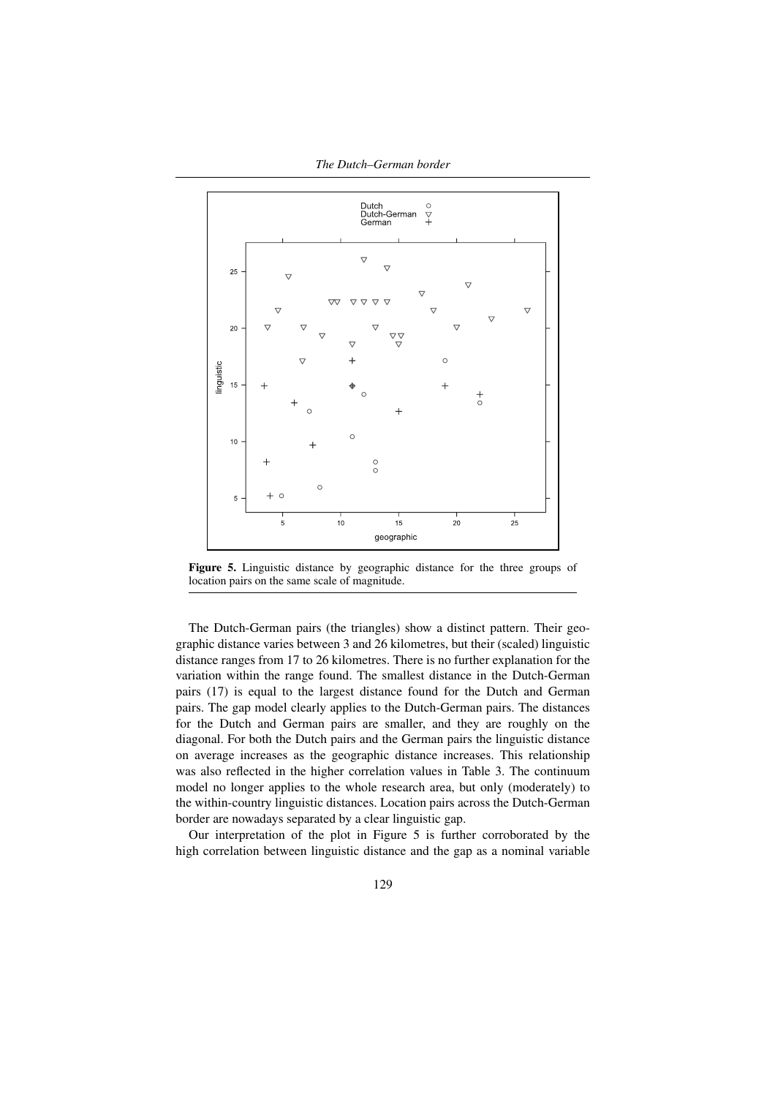

**Figure 5.** Linguistic distance by geographic distance for the three groups of location pairs on the same scale of magnitude.

The Dutch-German pairs (the triangles) show a distinct pattern. Their geographic distance varies between 3 and 26 kilometres, but their (scaled) linguistic distance ranges from 17 to 26 kilometres. There is no further explanation for the variation within the range found. The smallest distance in the Dutch-German pairs (17) is equal to the largest distance found for the Dutch and German pairs. The gap model clearly applies to the Dutch-German pairs. The distances for the Dutch and German pairs are smaller, and they are roughly on the diagonal. For both the Dutch pairs and the German pairs the linguistic distance on average increases as the geographic distance increases. This relationship was also reflected in the higher correlation values in Table 3. The continuum model no longer applies to the whole research area, but only (moderately) to the within-country linguistic distances. Location pairs across the Dutch-German border are nowadays separated by a clear linguistic gap.

Our interpretation of the plot in Figure 5 is further corroborated by the high correlation between linguistic distance and the gap as a nominal variable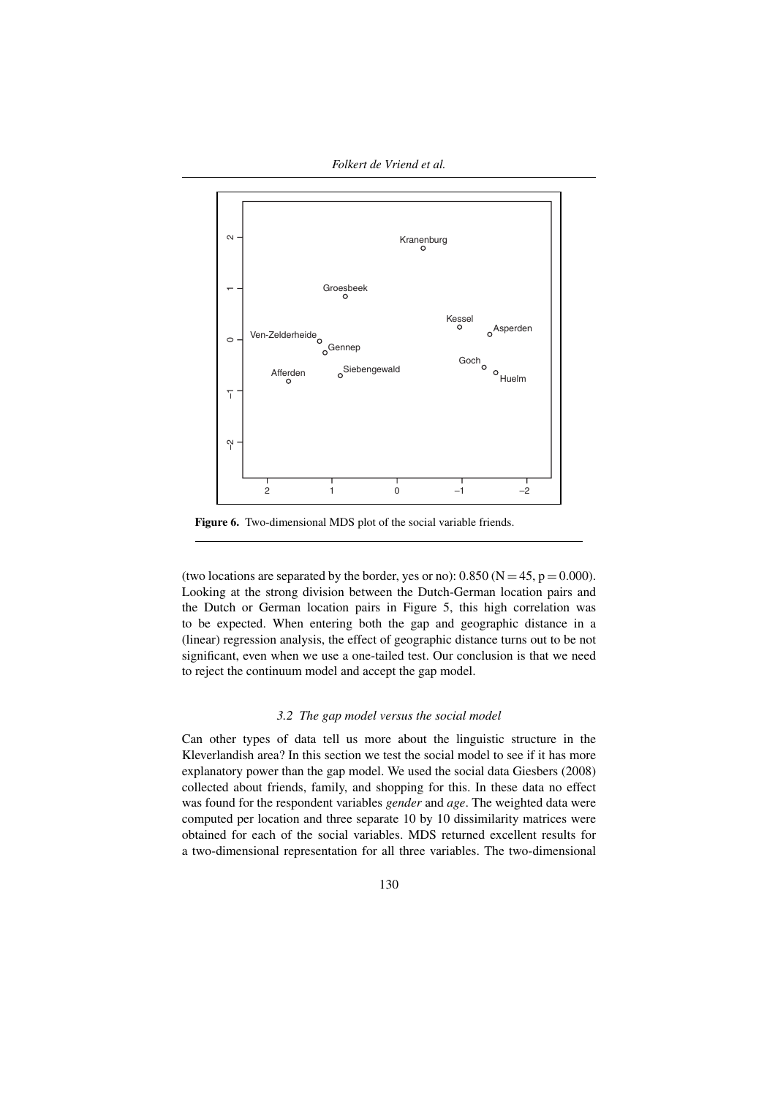

Figure 6. Two-dimensional MDS plot of the social variable friends.

(two locations are separated by the border, yes or no):  $0.850$  (N = 45, p = 0.000). Looking at the strong division between the Dutch-German location pairs and the Dutch or German location pairs in Figure 5, this high correlation was to be expected. When entering both the gap and geographic distance in a (linear) regression analysis, the effect of geographic distance turns out to be not significant, even when we use a one-tailed test. Our conclusion is that we need to reject the continuum model and accept the gap model.

## *3.2 The gap model versus the social model*

Can other types of data tell us more about the linguistic structure in the Kleverlandish area? In this section we test the social model to see if it has more explanatory power than the gap model. We used the social data Giesbers (2008) collected about friends, family, and shopping for this. In these data no effect was found for the respondent variables *gender* and *age*. The weighted data were computed per location and three separate 10 by 10 dissimilarity matrices were obtained for each of the social variables. MDS returned excellent results for a two-dimensional representation for all three variables. The two-dimensional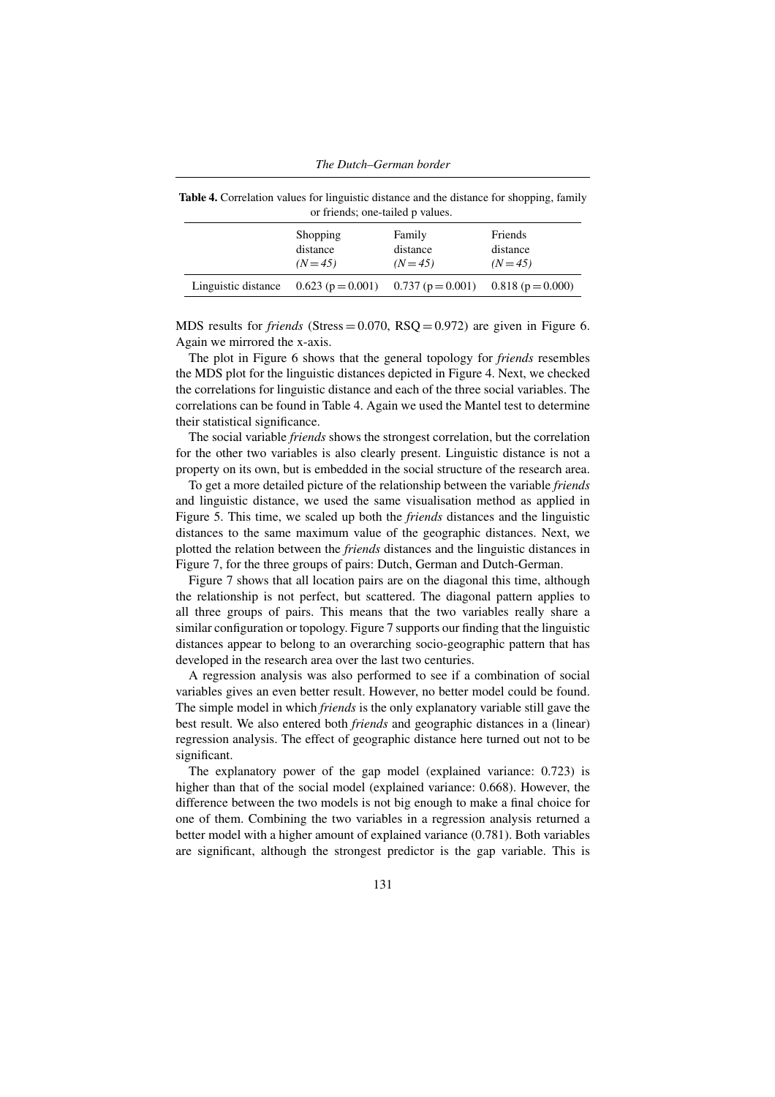**Table 4.** Correlation values for linguistic distance and the distance for shopping, family or friends; one-tailed p values.

|                     | Shopping | Family                                  | Friends          |
|---------------------|----------|-----------------------------------------|------------------|
|                     | distance | distance                                | distance         |
|                     | $(N=45)$ | $(N=45)$                                | $(N=45)$         |
| Linguistic distance |          | $0.623$ (p = 0.001) $0.737$ (p = 0.001) | $0.818(p=0.000)$ |

MDS results for *friends* (Stress = 0.070, RSQ = 0.972) are given in Figure 6. Again we mirrored the x-axis.

The plot in Figure 6 shows that the general topology for *friends* resembles the MDS plot for the linguistic distances depicted in Figure 4. Next, we checked the correlations for linguistic distance and each of the three social variables. The correlations can be found in Table 4. Again we used the Mantel test to determine their statistical significance.

The social variable *friends* shows the strongest correlation, but the correlation for the other two variables is also clearly present. Linguistic distance is not a property on its own, but is embedded in the social structure of the research area.

To get a more detailed picture of the relationship between the variable *friends* and linguistic distance, we used the same visualisation method as applied in Figure 5. This time, we scaled up both the *friends* distances and the linguistic distances to the same maximum value of the geographic distances. Next, we plotted the relation between the *friends* distances and the linguistic distances in Figure 7, for the three groups of pairs: Dutch, German and Dutch-German.

Figure 7 shows that all location pairs are on the diagonal this time, although the relationship is not perfect, but scattered. The diagonal pattern applies to all three groups of pairs. This means that the two variables really share a similar configuration or topology. Figure 7 supports our finding that the linguistic distances appear to belong to an overarching socio-geographic pattern that has developed in the research area over the last two centuries.

A regression analysis was also performed to see if a combination of social variables gives an even better result. However, no better model could be found. The simple model in which *friends* is the only explanatory variable still gave the best result. We also entered both *friends* and geographic distances in a (linear) regression analysis. The effect of geographic distance here turned out not to be significant.

The explanatory power of the gap model (explained variance: 0.723) is higher than that of the social model (explained variance: 0.668). However, the difference between the two models is not big enough to make a final choice for one of them. Combining the two variables in a regression analysis returned a better model with a higher amount of explained variance (0.781). Both variables are significant, although the strongest predictor is the gap variable. This is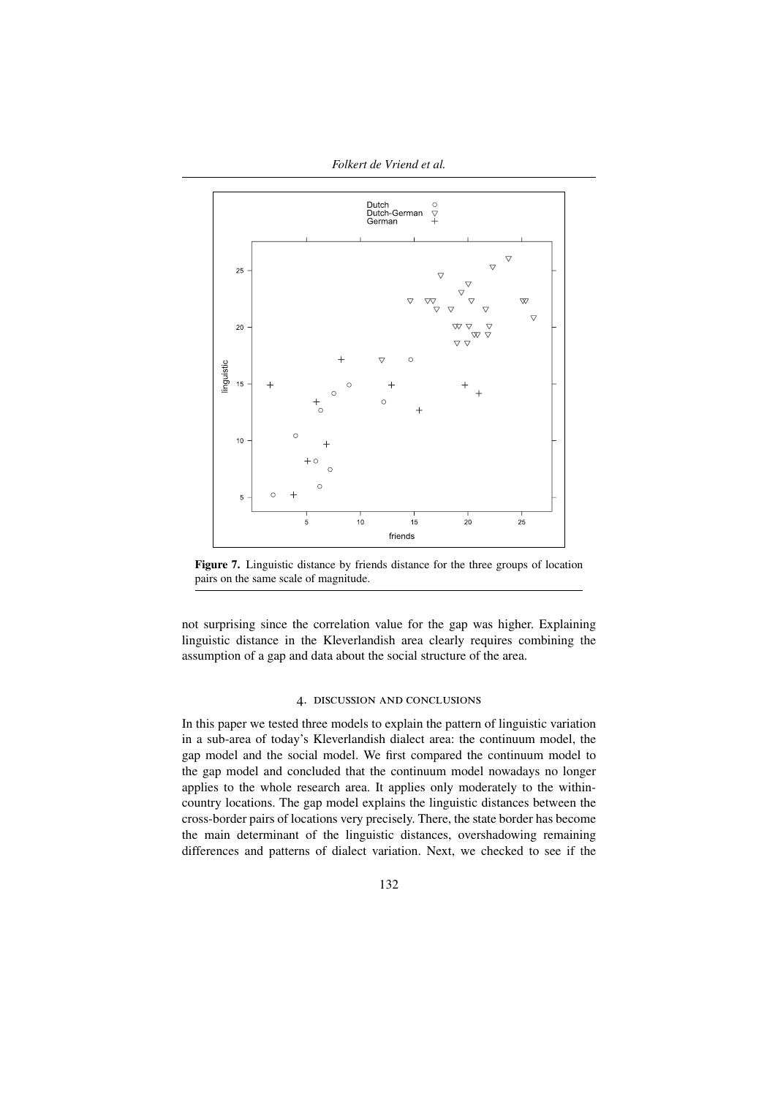



**Figure 7.** Linguistic distance by friends distance for the three groups of location pairs on the same scale of magnitude.

not surprising since the correlation value for the gap was higher. Explaining linguistic distance in the Kleverlandish area clearly requires combining the assumption of a gap and data about the social structure of the area.

### 4. discussion and conclusions

In this paper we tested three models to explain the pattern of linguistic variation in a sub-area of today's Kleverlandish dialect area: the continuum model, the gap model and the social model. We first compared the continuum model to the gap model and concluded that the continuum model nowadays no longer applies to the whole research area. It applies only moderately to the withincountry locations. The gap model explains the linguistic distances between the cross-border pairs of locations very precisely. There, the state border has become the main determinant of the linguistic distances, overshadowing remaining differences and patterns of dialect variation. Next, we checked to see if the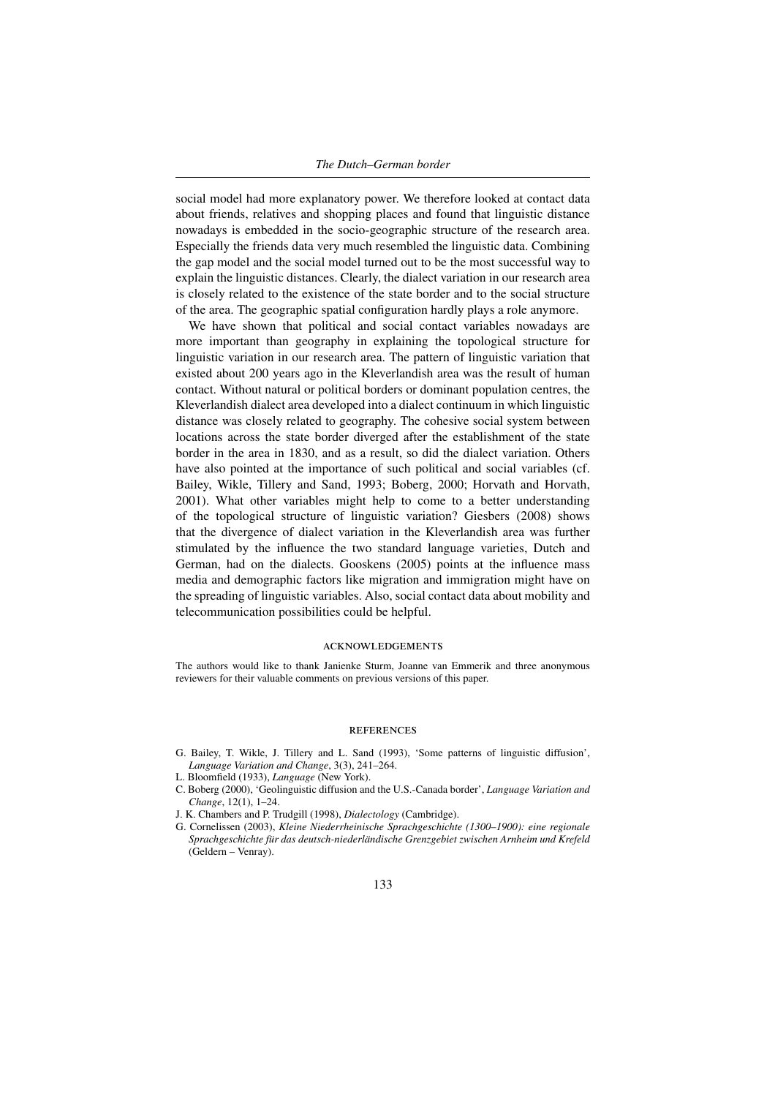social model had more explanatory power. We therefore looked at contact data about friends, relatives and shopping places and found that linguistic distance nowadays is embedded in the socio-geographic structure of the research area. Especially the friends data very much resembled the linguistic data. Combining the gap model and the social model turned out to be the most successful way to explain the linguistic distances. Clearly, the dialect variation in our research area is closely related to the existence of the state border and to the social structure of the area. The geographic spatial configuration hardly plays a role anymore.

We have shown that political and social contact variables nowadays are more important than geography in explaining the topological structure for linguistic variation in our research area. The pattern of linguistic variation that existed about 200 years ago in the Kleverlandish area was the result of human contact. Without natural or political borders or dominant population centres, the Kleverlandish dialect area developed into a dialect continuum in which linguistic distance was closely related to geography. The cohesive social system between locations across the state border diverged after the establishment of the state border in the area in 1830, and as a result, so did the dialect variation. Others have also pointed at the importance of such political and social variables (cf. Bailey, Wikle, Tillery and Sand, 1993; Boberg, 2000; Horvath and Horvath, 2001). What other variables might help to come to a better understanding of the topological structure of linguistic variation? Giesbers (2008) shows that the divergence of dialect variation in the Kleverlandish area was further stimulated by the influence the two standard language varieties, Dutch and German, had on the dialects. Gooskens (2005) points at the influence mass media and demographic factors like migration and immigration might have on the spreading of linguistic variables. Also, social contact data about mobility and telecommunication possibilities could be helpful.

#### **ACKNOWLEDGEMENTS**

The authors would like to thank Janienke Sturm, Joanne van Emmerik and three anonymous reviewers for their valuable comments on previous versions of this paper.

#### **REFERENCES**

- G. Bailey, T. Wikle, J. Tillery and L. Sand (1993), 'Some patterns of linguistic diffusion', *Language Variation and Change*, 3(3), 241–264.
- L. Bloomfield (1933), *Language* (New York).
- C. Boberg (2000), 'Geolinguistic diffusion and the U.S.-Canada border', *Language Variation and Change*, 12(1), 1–24.
- J. K. Chambers and P. Trudgill (1998), *Dialectology* (Cambridge).
- G. Cornelissen (2003), *Kleine Niederrheinische Sprachgeschichte (1300–1900): eine regionale Sprachgeschichte für das deutsch-niederländische Grenzgebiet zwischen Arnheim und Krefeld* (Geldern – Venray).